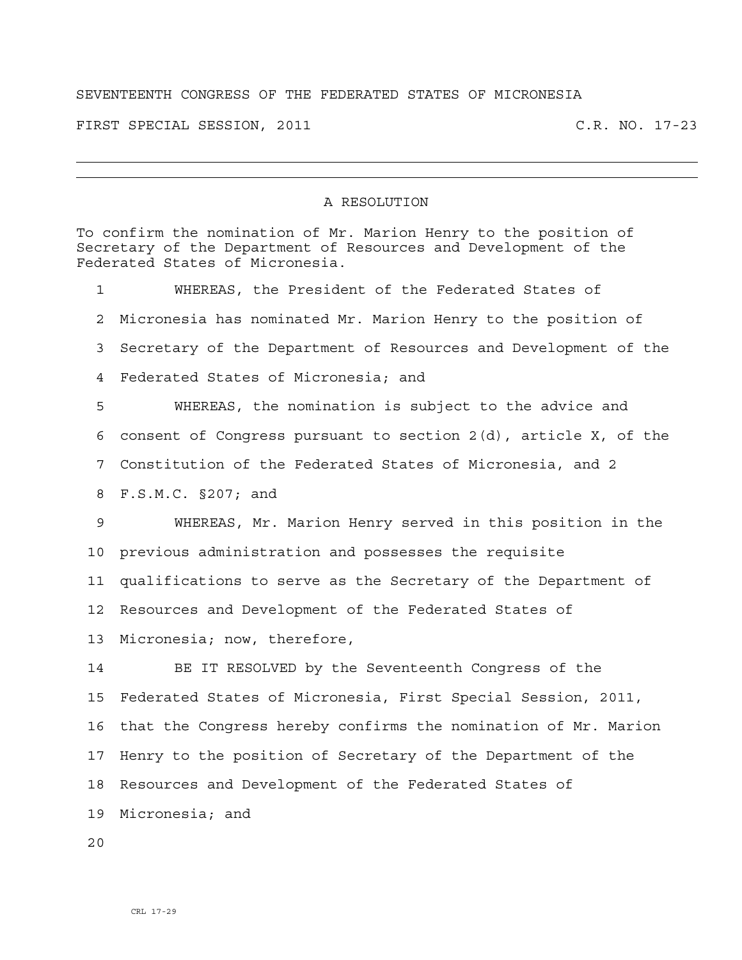## SEVENTEENTH CONGRESS OF THE FEDERATED STATES OF MICRONESIA

FIRST SPECIAL SESSION, 2011 C.R. NO. 17-23

## A RESOLUTION

To confirm the nomination of Mr. Marion Henry to the position of Secretary of the Department of Resources and Development of the Federated States of Micronesia.

1 WHEREAS, the President of the Federated States of 2 Micronesia has nominated Mr. Marion Henry to the position of 3 Secretary of the Department of Resources and Development of the 4 Federated States of Micronesia; and 5 WHEREAS, the nomination is subject to the advice and 6 consent of Congress pursuant to section 2(d), article X, of the 7 Constitution of the Federated States of Micronesia, and 2 8 F.S.M.C. §207; and 9 WHEREAS, Mr. Marion Henry served in this position in the 10 previous administration and possesses the requisite 11 qualifications to serve as the Secretary of the Department of 12 Resources and Development of the Federated States of 13 Micronesia; now, therefore, 14 BE IT RESOLVED by the Seventeenth Congress of the 15 Federated States of Micronesia, First Special Session, 2011, 16 that the Congress hereby confirms the nomination of Mr. Marion 17 Henry to the position of Secretary of the Department of the 18 Resources and Development of the Federated States of

19 Micronesia; and

 $2.0$